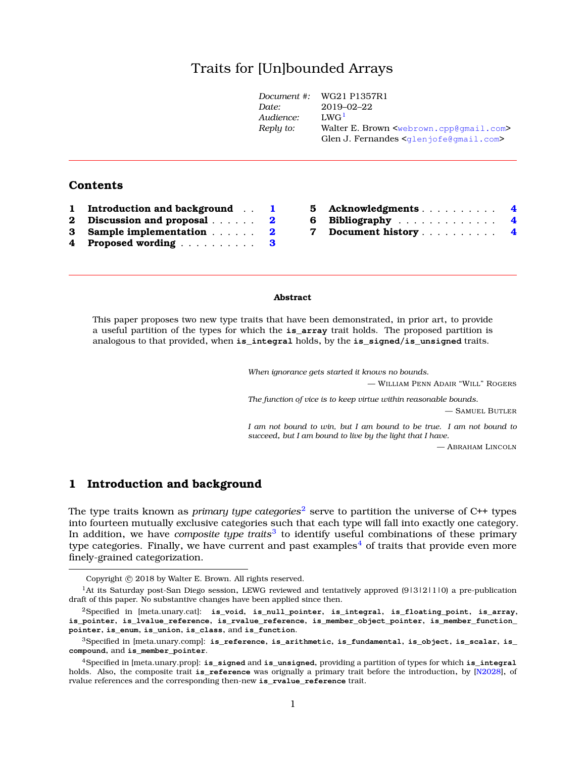# Traits for [Un]bounded Array[s](#page-0-0)

|           | Document #: $WG21 P1357R1$                                      |
|-----------|-----------------------------------------------------------------|
| Date:     | $2019 - 02 - 22$                                                |
| Audience: | LWG <sup>1</sup>                                                |
| Reply to: | Walter E. Brown <webrown.cpp@gmail.com></webrown.cpp@gmail.com> |
|           | Glen J. Fernandes $\leq$ dlen jofe@gmail.com>                   |
|           |                                                                 |

### **Contents**

| $\mathbf{1}$ | <b>Introduction and background</b> | $\mathbf{L}$ |
|--------------|------------------------------------|--------------|
|              | 2 Discussion and proposal          | $\mathbf{2}$ |
|              | 3 Sample implementation            | $\mathbf{2}$ |
|              | 4 Proposed wording                 | 3            |

| 5 Acknowledgments 4  |  |
|----------------------|--|
| 6 Bibliography 4     |  |
| 7 Document history 4 |  |

#### **Abstract**

This paper proposes two new type traits that have been demonstrated, in prior art, to provide a useful partition of the types for which the **is\_array** trait holds. The proposed partition is analogous to that provided, when **is\_integral** holds, by the **is\_signed**/**is\_unsigned** traits.

*When ignorance gets started it knows no bounds.*

— WILLIAM PENN ADAIR "WILL" ROGERS

*The function of vice is to keep virtue within reasonable bounds.*

— SAMUEL BUTLER

*I am not bound to win, but I am bound to be true. I am not bound to succeed, but I am bound to live by the light that I have.*

— ABRAHAM LINCOLN

## <span id="page-0-2"></span>**1 Introduction and background**

The type traits known as *primary type categories*[2](#page-0-3) serve to partition the universe of C++ types into fourteen mutually exclusive categories such that each type will fall into exactly one category. In addition, we have *composite type traits*[3](#page-0-4) to identify useful combinations of these primary type categories. Finally, we have current and past examples<sup>[4](#page-0-5)</sup> of traits that provide even more finely-grained categorization.

<span id="page-0-1"></span><span id="page-0-0"></span>Copyright  $©$  2018 by Walter E. Brown. All rights reserved.

<sup>&</sup>lt;sup>1</sup>At its Saturday post-San Diego session, LEWG reviewed and tentatively approved (913121110) a pre-publication draft of this paper. No substantive changes have been applied since then.

<span id="page-0-3"></span><sup>2</sup>Specified in [meta.unary.cat]: **is\_void**, **is\_null\_pointer**, **is\_integral**, **is\_floating\_point**, **is\_array**, **is\_pointer**, **is\_lvalue\_reference**, **is\_rvalue\_reference**, **is\_member\_object\_pointer**, **is\_member\_function\_ pointer**, **is\_enum**, **is\_union**, **is\_class**, and **is\_function**.

<span id="page-0-4"></span><sup>3</sup>Specified in [meta.unary.comp]: **is\_reference**, **is\_arithmetic**, **is\_fundamental**, **is\_object**, **is\_scalar**, **is\_ compound**, and **is\_member\_pointer**.

<span id="page-0-5"></span><sup>4</sup>Specified in [meta.unary.prop]: **is\_signed** and **is\_unsigned**, providing a partition of types for which **is\_integral** holds. Also, the composite trait **is\_reference** was orignally a primary trait before the introduction, by [\[N2028\]](#page-3-3), of rvalue references and the corresponding then-new **is\_rvalue\_reference** trait.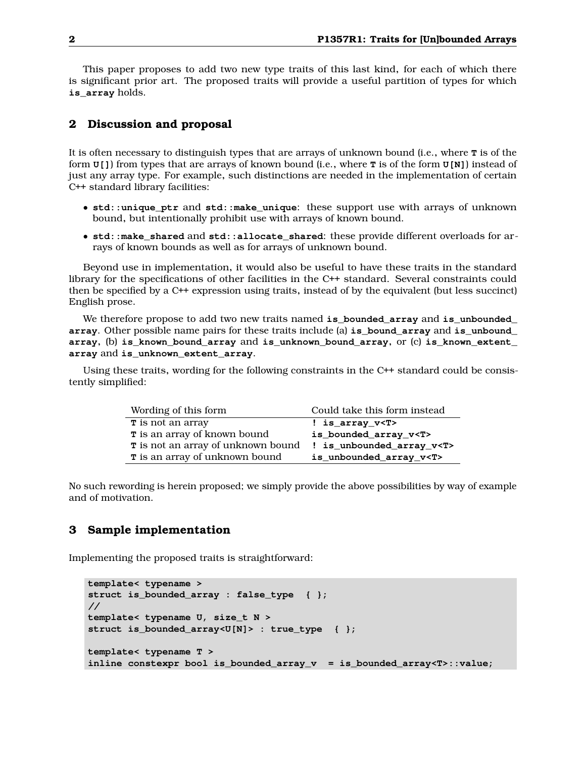This paper proposes to add two new type traits of this last kind, for each of which there is significant prior art. The proposed traits will provide a useful partition of types for which **is\_array** holds.

### <span id="page-1-0"></span>**2 Discussion and proposal**

It is often necessary to distinguish types that are arrays of unknown bound (i.e., where **T** is of the form **U[]**) from types that are arrays of known bound (i.e., where **T** is of the form **U[N]**) instead of just any array type. For example, such distinctions are needed in the implementation of certain C++ standard library facilities:

- **std::unique\_ptr** and **std::make\_unique**: these support use with arrays of unknown bound, but intentionally prohibit use with arrays of known bound.
- **std::make\_shared** and **std::allocate\_shared**: these provide different overloads for arrays of known bounds as well as for arrays of unknown bound.

Beyond use in implementation, it would also be useful to have these traits in the standard library for the specifications of other facilities in the C++ standard. Several constraints could then be specified by a C++ expression using traits, instead of by the equivalent (but less succinct) English prose.

We therefore propose to add two new traits named **is\_bounded\_array** and **is\_unbounded\_ array**. Other possible name pairs for these traits include (a) **is\_bound\_array** and **is\_unbound\_ array**, (b) **is\_known\_bound\_array** and **is\_unknown\_bound\_array**, or (c) **is\_known\_extent\_ array** and **is\_unknown\_extent\_array**.

Using these traits, wording for the following constraints in the C++ standard could be consistently simplified:

| Wording of this form                | Could take this form instead   |
|-------------------------------------|--------------------------------|
| T is not an array                   | ! is_array_v <t></t>           |
| <b>T</b> is an array of known bound | is_bounded_array_v <t></t>     |
| T is not an array of unknown bound  | ! is_unbounded_array_v <t></t> |
| T is an array of unknown bound      | is_unbounded_array_v <t></t>   |

<span id="page-1-1"></span>No such rewording is herein proposed; we simply provide the above possibilities by way of example and of motivation.

### **3 Sample implementation**

Implementing the proposed traits is straightforward:

```
template< typename >
struct is_bounded_array : false_type { };
//
template< typename U, size_t N >
struct is_bounded_array<U[N]> : true_type { };
template< typename T >
inline constexpr bool is_bounded_array_v = is_bounded_array<T>::value;
```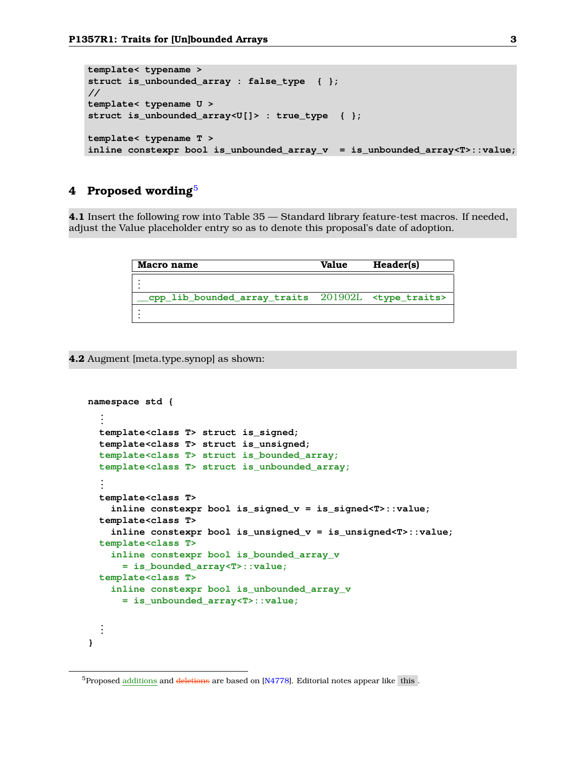```
template< typename >
struct is_unbounded_array : false_type { };
//
template< typename U >
struct is_unbounded_array<U[]> : true_type { };
template< typename T >
inline constexpr bool is_unbounded_array_v = is_unbounded_array<T>::value;
```
## <span id="page-2-0"></span>**4 Proposed wording**[5](#page-2-1)

**4.1** Insert the following row into Table 35 — Standard library feature-test macros. If needed, adjust the Value placeholder entry so as to denote this proposal's date of adoption.

| Macro name                                                                | Value | Header(s) |
|---------------------------------------------------------------------------|-------|-----------|
|                                                                           |       |           |
| $\epsilon$ cpp lib bounded array traits $201902L$ <type traits=""></type> |       |           |
|                                                                           |       |           |

**4.2** Augment [meta.type.synop] as shown:

```
namespace std {
  ...
  template<class T> struct is_signed;
  template<class T> struct is_unsigned;
  template<class T> struct is_bounded_array;
  template<class T> struct is_unbounded_array;
  ...
  template<class T>
    inline constexpr bool is_signed_v = is_signed<T>::value;
  template<class T>
    inline constexpr bool is_unsigned_v = is_unsigned<T>::value;
  template<class T>
    inline constexpr bool is_bounded_array_v
      = is_bounded_array<T>::value;
  template<class T>
    inline constexpr bool is_unbounded_array_v
      = is_unbounded_array<T>::value;
  ...
}
```
<span id="page-2-1"></span> $5P$ roposed additions and deletions are based on [\[N4778\]](#page-3-4). Editorial notes appear like this .